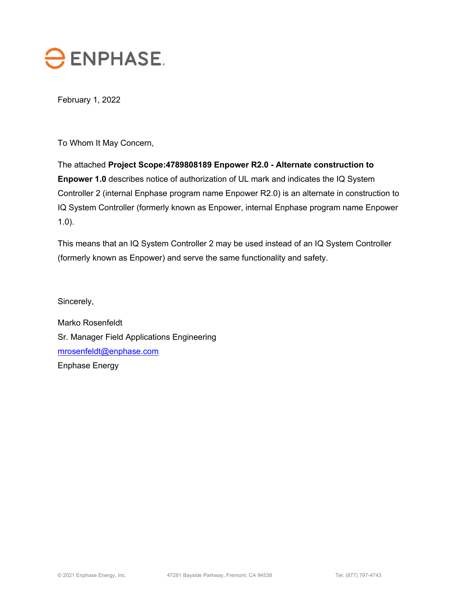

February 1, 2022

To Whom It May Concern,

The attached **Project Scope:4789808189 Enpower R2.0 - Alternate construction to Enpower 1.0** describes notice of authorization of UL mark and indicates the IQ System Controller 2 (internal Enphase program name Enpower R2.0) is an alternate in construction to IQ System Controller (formerly known as Enpower, internal Enphase program name Enpower 1.0).

This means that an IQ System Controller 2 may be used instead of an IQ System Controller (formerly known as Enpower) and serve the same functionality and safety.

Sincerely,

Marko Rosenfeldt Sr. Manager Field Applications Engineering mrosenfeldt@enphase.com Enphase Energy